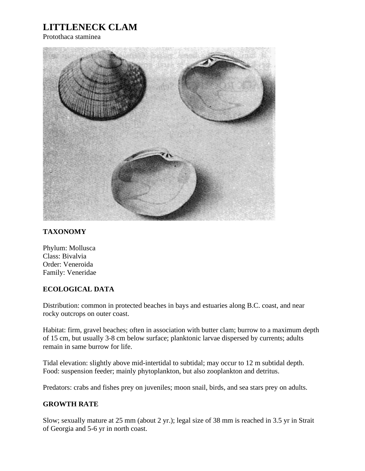## **LITTLENECK CLAM**

Protothaca staminea



## **TAXONOMY**

Phylum: Mollusca Class: Bivalvia Order: Veneroida Family: Veneridae

## **ECOLOGICAL DATA**

Distribution: common in protected beaches in bays and estuaries along B.C. coast, and near rocky outcrops on outer coast.

Habitat: firm, gravel beaches; often in association with butter clam; burrow to a maximum depth of 15 cm, but usually 3-8 cm below surface; planktonic larvae dispersed by currents; adults remain in same burrow for life.

Tidal elevation: slightly above mid-intertidal to subtidal; may occur to 12 m subtidal depth. Food: suspension feeder; mainly phytoplankton, but also zooplankton and detritus.

Predators: crabs and fishes prey on juveniles; moon snail, birds, and sea stars prey on adults.

## **GROWTH RATE**

Slow; sexually mature at 25 mm (about 2 yr.); legal size of 38 mm is reached in 3.5 yr in Strait of Georgia and 5-6 yr in north coast.